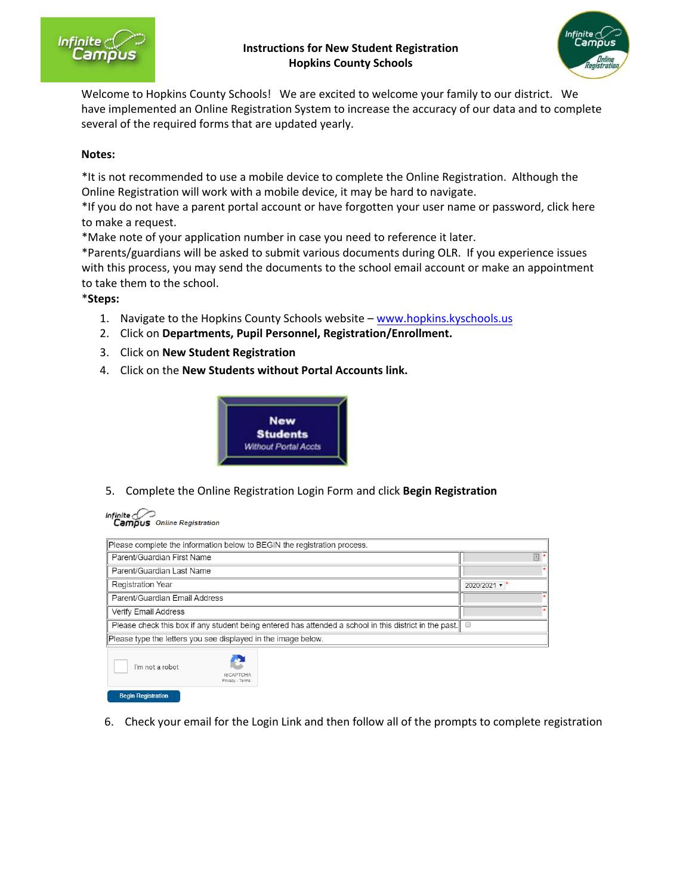

## **Instructions for New Student Registration Hopkins County Schools**



Welcome to Hopkins County Schools! We are excited to welcome your family to our district. We have implemented an Online Registration System to increase the accuracy of our data and to complete several of the required forms that are updated yearly.

## **Notes:**

\*It is not recommended to use a mobile device to complete the Online Registration. Although the Online Registration will work with a mobile device, it may be hard to navigate.

\*If you do not have a parent portal account or have forgotten your user name or password, click here to make a request.

\*Make note of your application number in case you need to reference it later.

\*Parents/guardians will be asked to submit various documents durin[g OLR. If you experience is](http://www.etown.kyschools.us/)sues with this process, you may send the documents to the school email account or make an appointment to take them to the school.

## \***Steps:**

- 1. Navigate to the Hopkins County Schools website –<www.hopkins.kyschools.us>
- 2. Click on **Departments, Pupil Personnel, Registration/Enrollment.**
- 3. Click on **New Student Registration**
- 4. Click on the **New Students without Portal Accounts link.**



5. Complete the Online Registration Login Form and click **Begin Registration**



**Begin Registration** 

| Please complete the information below to BEGIN the registration process.                               |                                     |  |                                |
|--------------------------------------------------------------------------------------------------------|-------------------------------------|--|--------------------------------|
| Parent/Guardian First Name                                                                             |                                     |  | 回                              |
| Parent/Guardian Last Name                                                                              |                                     |  |                                |
| <b>Registration Year</b>                                                                               |                                     |  | 2020/2021 $\blacktriangledown$ |
| Parent/Guardian Email Address                                                                          |                                     |  |                                |
| Verify Email Address                                                                                   |                                     |  |                                |
| Please check this box if any student being entered has attended a school in this district in the past. |                                     |  |                                |
| Please type the letters you see displayed in the image below.                                          |                                     |  |                                |
| I'm not a robot                                                                                        | <b>reCAPTCHA</b><br>Privacy - Terms |  |                                |

6. Check your email for the Login Link and then follow all of the prompts to complete registration